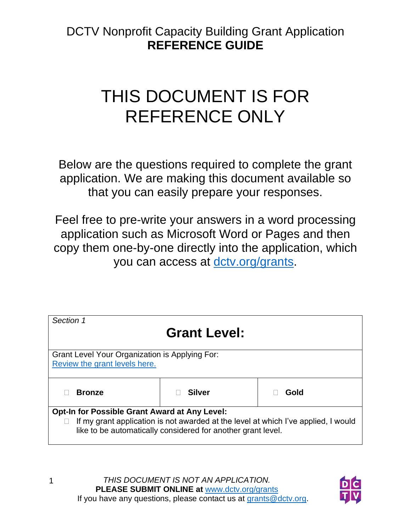## THIS DOCUMENT IS FOR REFERENCE ONLY

Below are the questions required to complete the grant application. We are making this document available so that you can easily prepare your responses.

Feel free to pre-write your answers in a word processing application such as Microsoft Word or Pages and then copy them one-by-one directly into the application, which you can access at [dctv.org/grants.](https://www.dctv.org/grants)

| Section 1                                                                                                                                          |               |      |
|----------------------------------------------------------------------------------------------------------------------------------------------------|---------------|------|
| <b>Grant Level:</b>                                                                                                                                |               |      |
| Grant Level Your Organization is Applying For:                                                                                                     |               |      |
| Review the grant levels here.                                                                                                                      |               |      |
| <b>Bronze</b>                                                                                                                                      | <b>Silver</b> | Gold |
| <b>Opt-In for Possible Grant Award at Any Level:</b>                                                                                               |               |      |
| If my grant application is not awarded at the level at which I've applied, I would<br>like to be automatically considered for another grant level. |               |      |

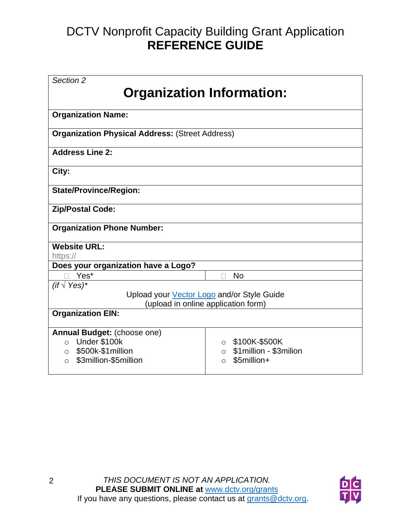| Section 2                                                       |                                     |  |
|-----------------------------------------------------------------|-------------------------------------|--|
|                                                                 | <b>Organization Information:</b>    |  |
|                                                                 |                                     |  |
| <b>Organization Name:</b>                                       |                                     |  |
| <b>Organization Physical Address: (Street Address)</b>          |                                     |  |
| <b>Address Line 2:</b>                                          |                                     |  |
| City:                                                           |                                     |  |
| <b>State/Province/Region:</b>                                   |                                     |  |
| <b>Zip/Postal Code:</b>                                         |                                     |  |
| <b>Organization Phone Number:</b>                               |                                     |  |
| <b>Website URL:</b>                                             |                                     |  |
| https://                                                        |                                     |  |
| Does your organization have a Logo?                             |                                     |  |
| Yes*                                                            | <b>No</b><br>П                      |  |
| (if $\sqrt{Y}$ es)*                                             |                                     |  |
| Upload your Vector Logo and/or Style Guide                      |                                     |  |
| (upload in online application form)<br><b>Organization EIN:</b> |                                     |  |
|                                                                 |                                     |  |
| Annual Budget: (choose one)                                     |                                     |  |
| Under \$100k<br>$\circ$                                         | \$100K-\$500K<br>$\circ$            |  |
| \$500k-\$1million<br>$\circ$                                    | \$1 million - \$3 milion<br>$\circ$ |  |
| \$3million-\$5million<br>$\Omega$                               | \$5million+<br>O                    |  |

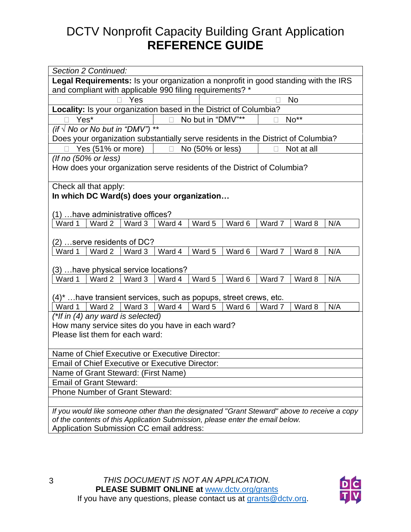| Section 2 Continued:                                                                                                                                     |  |  |
|----------------------------------------------------------------------------------------------------------------------------------------------------------|--|--|
| Legal Requirements: Is your organization a nonprofit in good standing with the IRS                                                                       |  |  |
| and compliant with applicable 990 filing requirements? *                                                                                                 |  |  |
| <b>No</b><br>Yes                                                                                                                                         |  |  |
| Locality: Is your organization based in the District of Columbia?                                                                                        |  |  |
| No but in "DMV"**<br>No**<br>Yes*                                                                                                                        |  |  |
| $\star\star$<br>(if $\sqrt{N}$ No or No but in "DMV")                                                                                                    |  |  |
| Does your organization substantially serve residents in the District of Columbia?                                                                        |  |  |
| Yes (51% or more)<br>No (50% or less)<br>Not at all<br>$\Box$                                                                                            |  |  |
| (If no (50% or less)                                                                                                                                     |  |  |
| How does your organization serve residents of the District of Columbia?                                                                                  |  |  |
|                                                                                                                                                          |  |  |
| Check all that apply:<br>In which DC Ward(s) does your organization                                                                                      |  |  |
|                                                                                                                                                          |  |  |
| (1)  have administrative offices?                                                                                                                        |  |  |
| Ward 5<br>Ward 1<br>Ward 2<br>Ward 3<br>Ward 6<br>Ward 7<br>N/A<br>Ward 4<br>Ward 8                                                                      |  |  |
|                                                                                                                                                          |  |  |
| (2) serve residents of DC?                                                                                                                               |  |  |
| Ward 2<br>Ward 3<br>Ward 4<br>Ward 5<br>Ward 6<br>Ward 8<br>N/A<br>Ward 1<br>Ward 7                                                                      |  |  |
|                                                                                                                                                          |  |  |
| (3)  have physical service locations?                                                                                                                    |  |  |
| Ward $2 \mid$ Ward 3<br>Ward 5<br>Ward 6<br>Ward 7<br>Ward 8<br>Ward 4<br>N/A<br>Ward 1                                                                  |  |  |
|                                                                                                                                                          |  |  |
| $(4)^*$ have transient services, such as popups, street crews, etc.<br>Ward 1   Ward 2   Ward 3<br>Ward 4<br>Ward 5<br>Ward 6<br>Ward 7<br>Ward 8<br>N/A |  |  |
| (*If in (4) any ward is selected)                                                                                                                        |  |  |
| How many service sites do you have in each ward?                                                                                                         |  |  |
| Please list them for each ward:                                                                                                                          |  |  |
|                                                                                                                                                          |  |  |
| Name of Chief Executive or Executive Director:                                                                                                           |  |  |
| <b>Email of Chief Executive or Executive Director:</b>                                                                                                   |  |  |
| Name of Grant Steward: (First Name)                                                                                                                      |  |  |
| <b>Email of Grant Steward:</b>                                                                                                                           |  |  |
| <b>Phone Number of Grant Steward:</b>                                                                                                                    |  |  |
|                                                                                                                                                          |  |  |
| If you would like someone other than the designated "Grant Steward" above to receive a copy                                                              |  |  |
| of the contents of this Application Submission, please enter the email below.                                                                            |  |  |
| Application Submission CC email address:                                                                                                                 |  |  |

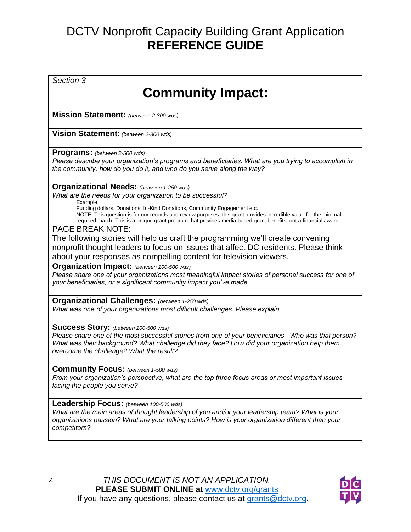*Section 3* **Community Impact: Mission Statement:** *(between 2-300 wds)* **Vision Statement:** *(between 2-300 wds)* **Programs:** *(between 2-500 wds) Please describe your organization's programs and beneficiaries. What are you trying to accomplish in the community, how do you do it, and who do you serve along the way?* **Organizational Needs:** *(between 1-250 wds) What are the needs for your organization to be successful?* Example: Funding dollars, Donations, In-Kind Donations, Community Engagement etc. NOTE: This question is for our records and review purposes, this grant provides incredible value for the minimal required match. This is a unique grant program that provides media based grant benefits, not a financial award. PAGE BREAK NOTE: The following stories will help us craft the programming we'll create convening nonprofit thought leaders to focus on issues that affect DC residents. Please think about your responses as compelling content for television viewers. **Organization Impact:** *(between 100-500 wds) Please share one of your organizations most meaningful impact stories of personal success for one of your beneficiaries, or a significant community impact you've made.* **Organizational Challenges:** *(between 1-250 wds) What was one of your organizations most difficult challenges. Please explain.* **Success Story:** *(between 100-500 wds) Please share one of the most successful stories from one of your beneficiaries. Who was that person? What was their background? What challenge did they face? How did your organization help them overcome the challenge? What the result?* **Community Focus:** *(between 1-500 wds) From your organization's perspective, what are the top three focus areas or most important issues facing the people you serve?* **Leadership Focus:** *(between 100-500 wds) What are the main areas of thought leadership of you and/or your leadership team? What is your organizations passion? What are your talking points? How is your organization different than your competitors?*

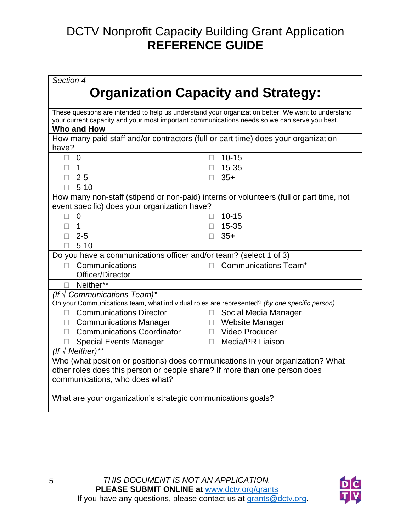| Section 4                                                                       |                                                                                                                                                                                                    |  |  |
|---------------------------------------------------------------------------------|----------------------------------------------------------------------------------------------------------------------------------------------------------------------------------------------------|--|--|
| <b>Organization Capacity and Strategy:</b>                                      |                                                                                                                                                                                                    |  |  |
|                                                                                 | These questions are intended to help us understand your organization better. We want to understand<br>your current capacity and your most important communications needs so we can serve you best. |  |  |
| Who and How                                                                     |                                                                                                                                                                                                    |  |  |
|                                                                                 | How many paid staff and/or contractors (full or part time) does your organization                                                                                                                  |  |  |
| have?                                                                           |                                                                                                                                                                                                    |  |  |
| $\Omega$<br>$\Box$                                                              | $10 - 15$                                                                                                                                                                                          |  |  |
| $\overline{1}$<br>$\Box$                                                        | 15-35                                                                                                                                                                                              |  |  |
| $2 - 5$                                                                         | $35+$                                                                                                                                                                                              |  |  |
| $5 - 10$                                                                        |                                                                                                                                                                                                    |  |  |
|                                                                                 | How many non-staff (stipend or non-paid) interns or volunteers (full or part time, not                                                                                                             |  |  |
| event specific) does your organization have?                                    |                                                                                                                                                                                                    |  |  |
| $\overline{0}$<br>П.                                                            | $10 - 15$<br>П                                                                                                                                                                                     |  |  |
| $\mathbf{1}$<br>П                                                               | 15-35                                                                                                                                                                                              |  |  |
| $2 - 5$                                                                         | $35+$                                                                                                                                                                                              |  |  |
| $5 - 10$                                                                        |                                                                                                                                                                                                    |  |  |
| Do you have a communications officer and/or team? (select 1 of 3)               |                                                                                                                                                                                                    |  |  |
| Communications<br>$\Box$                                                        | <b>Communications Team*</b><br>П                                                                                                                                                                   |  |  |
| Officer/Director                                                                |                                                                                                                                                                                                    |  |  |
| □ Neither**                                                                     |                                                                                                                                                                                                    |  |  |
| (If $\sqrt{C}$ Communications Team)*                                            |                                                                                                                                                                                                    |  |  |
|                                                                                 | On your Communications team, what individual roles are represented? (by one specific person)                                                                                                       |  |  |
| □ Communications Director                                                       | Social Media Manager<br>U.                                                                                                                                                                         |  |  |
| □ Communications Manager                                                        | □ Website Manager                                                                                                                                                                                  |  |  |
| <b>Communications Coordinator</b>                                               | Video Producer                                                                                                                                                                                     |  |  |
| <b>Special Events Manager</b>                                                   | <b>Media/PR Liaison</b><br>П                                                                                                                                                                       |  |  |
| (If $\sqrt{\ }$ Neither)**                                                      |                                                                                                                                                                                                    |  |  |
| Who (what position or positions) does communications in your organization? What |                                                                                                                                                                                                    |  |  |
| other roles does this person or people share? If more than one person does      |                                                                                                                                                                                                    |  |  |
| communications, who does what?                                                  |                                                                                                                                                                                                    |  |  |
| What are your organization's strategic communications goals?                    |                                                                                                                                                                                                    |  |  |

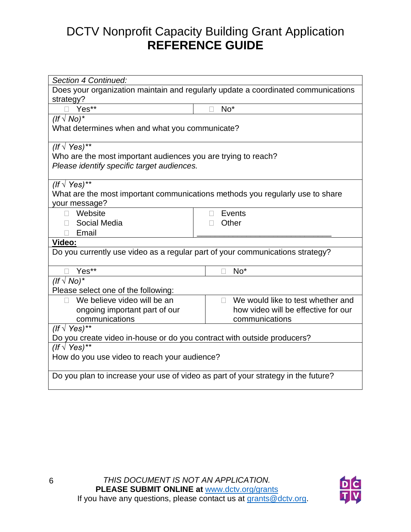| Section 4 Continued:                                                              |                                                                                   |  |
|-----------------------------------------------------------------------------------|-----------------------------------------------------------------------------------|--|
|                                                                                   | Does your organization maintain and regularly update a coordinated communications |  |
| strategy?                                                                         |                                                                                   |  |
| Yes**                                                                             | $No*$                                                                             |  |
| $($ f $\sqrt{N}$ o $)$ *                                                          |                                                                                   |  |
| What determines when and what you communicate?                                    |                                                                                   |  |
|                                                                                   |                                                                                   |  |
| (If $\sqrt{Y}$ es)**                                                              |                                                                                   |  |
| Who are the most important audiences you are trying to reach?                     |                                                                                   |  |
| Please identify specific target audiences.                                        |                                                                                   |  |
|                                                                                   |                                                                                   |  |
| (If $\sqrt{Y}$ es)**                                                              |                                                                                   |  |
|                                                                                   | What are the most important communications methods you regularly use to share     |  |
| your message?                                                                     |                                                                                   |  |
| Website                                                                           | Events<br>$\mathbf{L}$                                                            |  |
| Social Media                                                                      | Other<br>П                                                                        |  |
| Email                                                                             |                                                                                   |  |
| Video:                                                                            |                                                                                   |  |
| Do you currently use video as a regular part of your communications strategy?     |                                                                                   |  |
|                                                                                   |                                                                                   |  |
| Yes**                                                                             | $No*$                                                                             |  |
| $($ f $\sqrt{N}$ o $)$ *                                                          |                                                                                   |  |
| Please select one of the following:                                               |                                                                                   |  |
| We believe video will be an                                                       | We would like to test whether and<br>П                                            |  |
| ongoing important part of our                                                     | how video will be effective for our                                               |  |
| communications                                                                    | communications                                                                    |  |
| (If $\sqrt{Y}$ es)**                                                              |                                                                                   |  |
| Do you create video in-house or do you contract with outside producers?           |                                                                                   |  |
| (If $\sqrt{Y}$ es)**                                                              |                                                                                   |  |
| How do you use video to reach your audience?                                      |                                                                                   |  |
|                                                                                   |                                                                                   |  |
| Do you plan to increase your use of video as part of your strategy in the future? |                                                                                   |  |
|                                                                                   |                                                                                   |  |
|                                                                                   |                                                                                   |  |

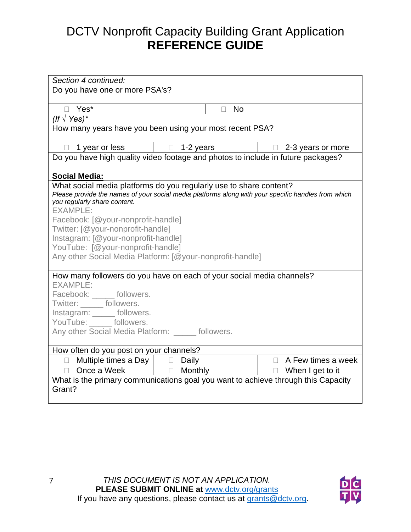| Section 4 continued:                                                              |                                                                                                     |                            |
|-----------------------------------------------------------------------------------|-----------------------------------------------------------------------------------------------------|----------------------------|
| Do you have one or more PSA's?                                                    |                                                                                                     |                            |
|                                                                                   |                                                                                                     |                            |
| Yes*<br>$\Box$                                                                    | <b>No</b><br>П                                                                                      |                            |
| (If $\sqrt{Y}$ es)*                                                               |                                                                                                     |                            |
|                                                                                   | How many years have you been using your most recent PSA?                                            |                            |
|                                                                                   |                                                                                                     |                            |
| 1 year or less<br>$\Box$                                                          | $\Box$ 1-2 years                                                                                    | 2-3 years or more          |
|                                                                                   | Do you have high quality video footage and photos to include in future packages?                    |                            |
|                                                                                   |                                                                                                     |                            |
| <b>Social Media:</b>                                                              |                                                                                                     |                            |
|                                                                                   | What social media platforms do you regularly use to share content?                                  |                            |
|                                                                                   | Please provide the names of your social media platforms along with your specific handles from which |                            |
| you regularly share content.<br><b>EXAMPLE:</b>                                   |                                                                                                     |                            |
|                                                                                   |                                                                                                     |                            |
| Facebook: [@your-nonprofit-handle]                                                |                                                                                                     |                            |
| Twitter: [@your-nonprofit-handle]                                                 |                                                                                                     |                            |
| Instagram: [@your-nonprofit-handle]                                               |                                                                                                     |                            |
| YouTube: [@your-nonprofit-handle]                                                 |                                                                                                     |                            |
|                                                                                   | Any other Social Media Platform: [@your-nonprofit-handle]                                           |                            |
|                                                                                   |                                                                                                     |                            |
| <b>EXAMPLE:</b>                                                                   | How many followers do you have on each of your social media channels?                               |                            |
|                                                                                   |                                                                                                     |                            |
| Facebook: ______ followers.                                                       |                                                                                                     |                            |
| Twitter: ______ followers.                                                        |                                                                                                     |                            |
| Instagram: ______ followers.                                                      |                                                                                                     |                            |
| YouTube: _____ followers.                                                         |                                                                                                     |                            |
| Any other Social Media Platform: ______ followers.                                |                                                                                                     |                            |
|                                                                                   |                                                                                                     |                            |
| How often do you post on your channels?                                           |                                                                                                     |                            |
| Multiple times a Day $\vert$ $\Box$                                               | Daily                                                                                               | $\Box$ A Few times a week  |
| Once a Week                                                                       | $\Box$ Monthly                                                                                      | When I get to it<br>$\Box$ |
| What is the primary communications goal you want to achieve through this Capacity |                                                                                                     |                            |
| Grant?                                                                            |                                                                                                     |                            |
|                                                                                   |                                                                                                     |                            |

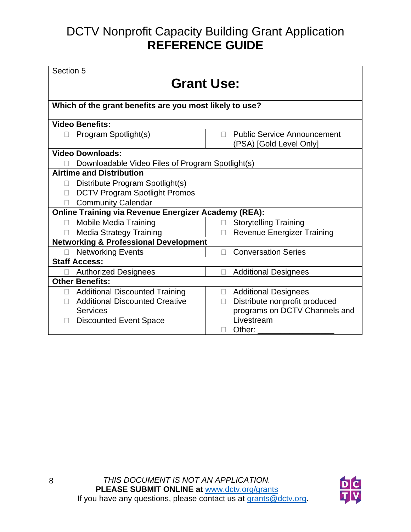| Section 5                                                   |                                                                    |  |
|-------------------------------------------------------------|--------------------------------------------------------------------|--|
| <b>Grant Use:</b>                                           |                                                                    |  |
|                                                             |                                                                    |  |
| Which of the grant benefits are you most likely to use?     |                                                                    |  |
| <b>Video Benefits:</b>                                      |                                                                    |  |
| Program Spotlight(s)<br>П                                   | <b>Public Service Announcement</b><br>П<br>(PSA) [Gold Level Only] |  |
| <b>Video Downloads:</b>                                     |                                                                    |  |
| Downloadable Video Files of Program Spotlight(s)            |                                                                    |  |
| <b>Airtime and Distribution</b>                             |                                                                    |  |
| Distribute Program Spotlight(s)<br>$\Box$                   |                                                                    |  |
| <b>DCTV Program Spotlight Promos</b>                        |                                                                    |  |
| <b>Community Calendar</b>                                   |                                                                    |  |
| <b>Online Training via Revenue Energizer Academy (REA):</b> |                                                                    |  |
| <b>Mobile Media Training</b><br>П                           | <b>Storytelling Training</b>                                       |  |
| <b>Media Strategy Training</b>                              | <b>Revenue Energizer Training</b>                                  |  |
| <b>Networking &amp; Professional Development</b>            |                                                                    |  |
| <b>Networking Events</b>                                    | <b>Conversation Series</b>                                         |  |
| <b>Staff Access:</b>                                        |                                                                    |  |
| <b>Authorized Designees</b>                                 | <b>Additional Designees</b>                                        |  |
| <b>Other Benefits:</b>                                      |                                                                    |  |
| <b>Additional Discounted Training</b><br>$\Box$             | <b>Additional Designees</b><br>$\Box$                              |  |
| <b>Additional Discounted Creative</b>                       | Distribute nonprofit produced<br>П                                 |  |
| <b>Services</b>                                             | programs on DCTV Channels and                                      |  |
| <b>Discounted Event Space</b>                               | Livestream                                                         |  |
|                                                             | Other:                                                             |  |

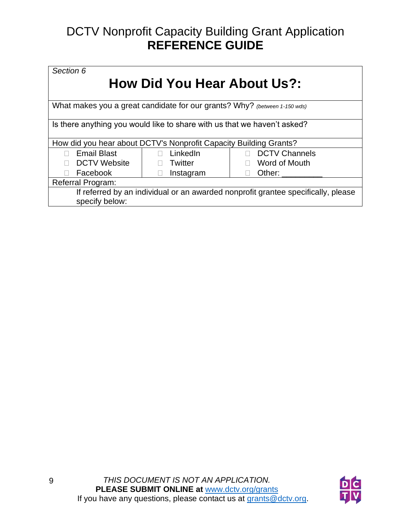| Section 6                                                                         |                    |                         |
|-----------------------------------------------------------------------------------|--------------------|-------------------------|
| <b>How Did You Hear About Us?:</b>                                                |                    |                         |
|                                                                                   |                    |                         |
| What makes you a great candidate for our grants? Why? (between 1-150 wds)         |                    |                         |
| Is there anything you would like to share with us that we haven't asked?          |                    |                         |
| How did you hear about DCTV's Nonprofit Capacity Building Grants?                 |                    |                         |
| <b>Email Blast</b>                                                                | LinkedIn<br>$\Box$ | <b>DCTV Channels</b>    |
| <b>DCTV Website</b>                                                               | Twitter            | Word of Mouth<br>$\Box$ |
| Facebook                                                                          | Instagram          | Other:                  |
| Referral Program:                                                                 |                    |                         |
| If referred by an individual or an awarded nonprofit grantee specifically, please |                    |                         |
| specify below:                                                                    |                    |                         |
|                                                                                   |                    |                         |

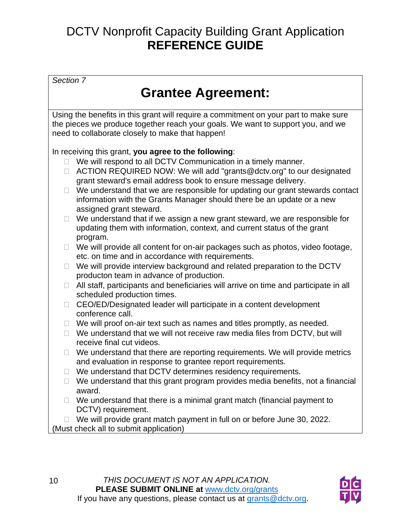*Section 7*

### **Grantee Agreement:**

Using the benefits in this grant will require a commitment on your part to make sure the pieces we produce together reach your goals. We want to support you, and we need to collaborate closely to make that happen!

In receiving this grant, **you agree to the following**:

- $\Box$  We will respond to all DCTV Communication in a timely manner.
- □ ACTION REQUIRED NOW: We will add "grants@dctv.org" to our designated grant steward's email address book to ensure message delivery.
- $\Box$  We understand that we are responsible for updating our grant stewards contact information with the Grants Manager should there be an update or a new assigned grant steward.
- $\Box$  We understand that if we assign a new grant steward, we are responsible for updating them with information, context, and current status of the grant program.
- $\Box$  We will provide all content for on-air packages such as photos, video footage, etc. on time and in accordance with requirements.
- $\Box$  We will provide interview background and related preparation to the DCTV producton team in advance of production.
- $\Box$  All staff, participants and beneficiaries will arrive on time and participate in all scheduled production times.
- $\Box$  CEO/ED/Designated leader will participate in a content development conference call.
- $\Box$  We will proof on-air text such as names and titles promptly, as needed.
- $\Box$  We understand that we will not receive raw media files from DCTV, but will receive final cut videos.
- $\Box$  We understand that there are reporting requirements. We will provide metrics and evaluation in response to grantee report requirements.
- $\Box$  We understand that DCTV determines residency requirements.
- $\Box$  We understand that this grant program provides media benefits, not a financial award.
- $\Box$  We understand that there is a minimal grant match (financial payment to DCTV) requirement.

 $\Box$  We will provide grant match payment in full on or before June 30, 2022. (Must check all to submit application)